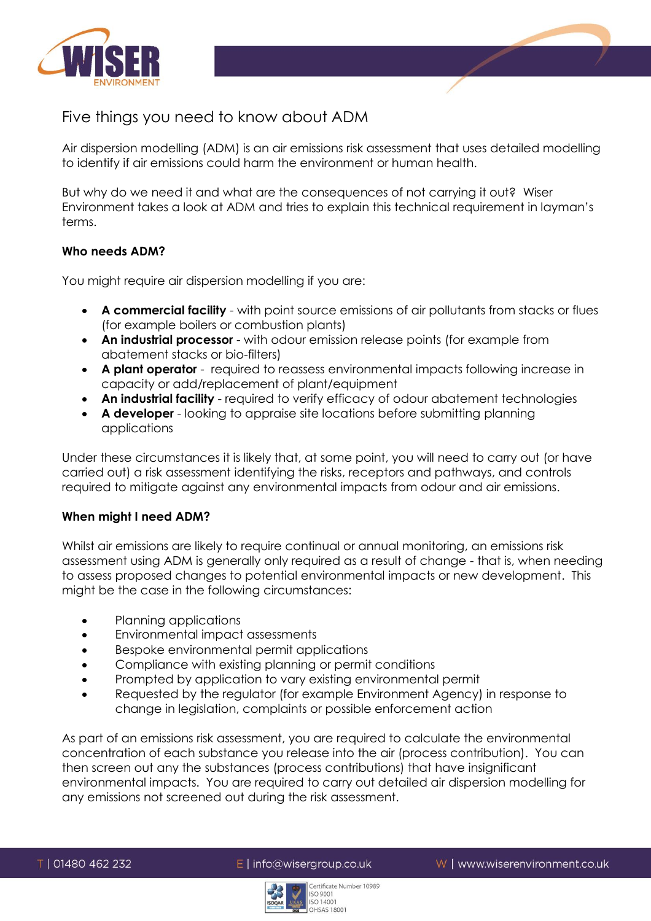

Five things you need to know about ADM

Air dispersion modelling (ADM) is an air emissions risk assessment that uses detailed modelling to identify if air emissions could harm the environment or human health.

But why do we need it and what are the consequences of not carrying it out? Wiser Environment takes a look at ADM and tries to explain this technical requirement in layman's terms.

# **Who needs ADM?**

You might require air dispersion modelling if you are:

- **A commercial facility** with point source emissions of air pollutants from stacks or flues (for example boilers or combustion plants)
- **An industrial processor** with odour emission release points (for example from abatement stacks or bio-filters)
- **A plant operator** required to reassess environmental impacts following increase in capacity or add/replacement of plant/equipment
- **An industrial facility** required to verify efficacy of odour abatement technologies
- **A developer** looking to appraise site locations before submitting planning applications

Under these circumstances it is likely that, at some point, you will need to carry out (or have carried out) a risk assessment identifying the risks, receptors and pathways, and controls required to mitigate against any environmental impacts from odour and air emissions.

## **When might I need ADM?**

Whilst air emissions are likely to require continual or annual monitoring, an emissions risk assessment using ADM is generally only required as a result of change - that is, when needing to assess proposed changes to potential environmental impacts or new development. This might be the case in the following circumstances:

- Planning applications
- Environmental impact assessments
- **Bespoke environmental permit applications**
- Compliance with existing planning or permit conditions
- Prompted by application to vary existing environmental permit
- Requested by the regulator (for example Environment Agency) in response to change in legislation, complaints or possible enforcement action

As part of an emissions risk assessment, you are required to calculate the environmental concentration of each substance you release into the air (process contribution). You can then screen out any the substances (process contributions) that have insignificant environmental impacts. You are required to carry out detailed air dispersion modelling for any emissions not screened out during the risk assessment.

 $E$  | info@wisergroup.co.uk